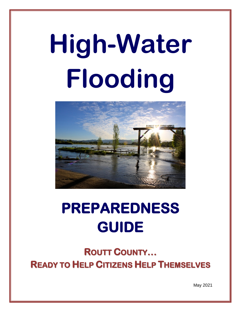# **High-Water Flooding**



## **PREPAREDNESS GUIDE**

**ROUTT COUNTY… READY TO HELP CITIZENS HELP THEMSELVES**

May 2021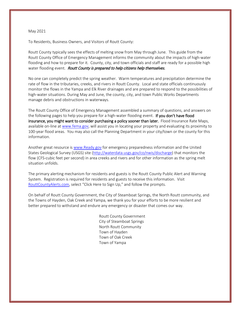#### May 2021

To Residents, Business Owners, and Visitors of Routt County:

Routt County typically sees the effects of melting snow from May through June. This guide from the Routt County Office of Emergency Management informs the community about the impacts of high-water flooding and how to prepare for it. County, city, and town officials and staff are ready for a possible high water flooding event. Routt County is prepared to help citizens help themselves.

No one can completely predict the spring weather. Warm temperatures and precipitation determine the rate of flow in the tributaries, creeks, and rivers in Routt County. Local and state officials continuously monitor the flows in the Yampa and Elk River drainages and are prepared to respond to the possibilities of high-water situations. During May and June, the county, city, and town Public Works Departments manage debris and obstructions in waterways.

The Routt County Office of Emergency Management assembled a summary of questions, and answers on the following pages to help you prepare for a high-water flooding event. If you don't have flood insurance, you might want to consider purchasing a policy sooner than later. Flood Insurance Rate Maps, available on-line at [www.fema.gov,](http://www.fema.gov/) will assist you in locating your property and evaluating its proximity to 100-year flood areas. You may also call the Planning Department in your city/town or the county for this information.

Another great resource is [www.Ready.gov](http://www.ready.gov/) for emergency preparedness information and the United States Geological Survey (USGS) site [\(http://waterdata.usgs.gov/co/nwis/discharge\)](http://waterdata.usgs.gov/co/nwis/discharge) that monitors the flow (CFS-cubic feet per second) in area creeks and rivers and for other information as the spring melt situation unfolds.

The primary alerting mechanism for residents and guests is the Routt County Public Alert and Warning System. Registration is required for residents and guests to receive this information. Visit [RouttCountyAlerts.com,](https://member.everbridge.net/index/892807736727602#/login) select "Click Here to Sign Up," and follow the prompts.

On behalf of Routt County Government, the City of Steamboat Springs, the North Routt community, and the Towns of Hayden, Oak Creek and Yampa, we thank you for your efforts to be more resilient and better prepared to withstand and endure any emergency or disaster that comes our way.

> Routt County Government City of Steamboat Springs North Routt Community Town of Hayden Town of Oak Creek Town of Yampa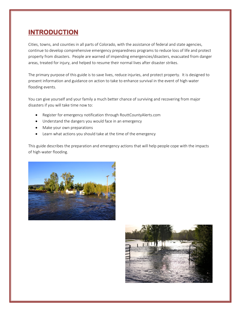## **INTRODUCTION**

Cities, towns, and counties in all parts of Colorado, with the assistance of federal and state agencies, continue to develop comprehensive emergency preparedness programs to reduce loss of life and protect property from disasters. People are warned of impending emergencies/disasters, evacuated from danger areas, treated for injury, and helped to resume their normal lives after disaster strikes.

The primary purpose of this guide is to save lives, reduce injuries, and protect property. It is designed to present information and guidance on action to take to enhance survival in the event of high-water flooding events.

You can give yourself and your family a much better chance of surviving and recovering from major disasters if you will take time now to:

- Register for emergency notification through RouttCountyAlerts.com
- Understand the dangers you would face in an emergency
- Make your own preparations
- Learn what actions you should take at the time of the emergency

This guide describes the preparation and emergency actions that will help people cope with the impacts of high-water flooding.



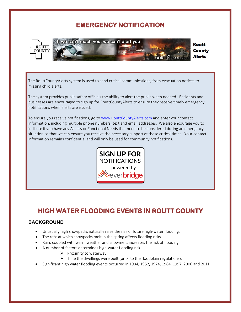## **EMERGENCY NOTIFICATION**



e can't reach you, we can't alert you

Routt **County Alerts** 

The RouttCountyAlerts system is used to send critical communications, from evacuation notices to missing child alerts.

The system provides public safety officials the ability to alert the public when needed. Residents and businesses are encouraged to sign up for RouttCountyAlerts to ensure they receive timely emergency notifications when alerts are issued.

To ensure you receive notifications, go to [www.RouttCountyAlerts.com](http://www.routtcountyalerts.com/) and enter your contact information, including multiple phone numbers, text and email addresses. We also encourage you to indicate if you have any Access or Functional Needs that need to be considered during an emergency situation so that we can ensure you receive the necessary support at these critical times. Your contact information remains confidential and will only be used for community notifications.



## **HIGH WATER FLOODING EVENTS IN ROUTT COUNTY**

## **BACKGROUND**

- Unusually high snowpacks naturally raise the risk of future high-water flooding.
- The *rate* at which snowpacks melt in the spring affects flooding risks.
- Rain, coupled with warm weather and snowmelt, increases the risk of flooding.
- A number of factors determines high-water flooding risk:
	- $\triangleright$  Proximity to waterway
	- $\triangleright$  Time the dwellings were built (prior to the floodplain regulations).
- Significant high water flooding events occurred in 1934, 1952, 1974, 1984, 1997, 2006 and 2011.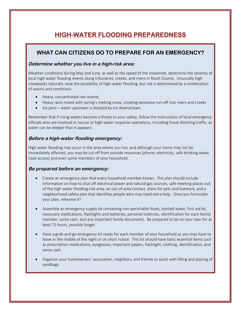## **HIGH-WATER FLOODING PREPAREDNESS**

## **WHAT CAN CITIZENS DO TO PREPARE FOR AN EMERGENCY?**

#### **Determine whether you live in a high-risk area:**

Weather conditions during May and June, as well as the speed of the snowmelt, determine the severity of local high water flooding events along tributaries, creeks, and rivers in Routt County. Unusually high snowpacks naturally raise the possibility of high-water flooding, but risk is determined by a combination of events and conditions:

- Heavy, concentrated rain events
- Heavy rains mixed with spring's melting snow, creating excessive run-off into rivers and creeks
- Ice jams water upstream is blocked by ice downstream

Remember that if rising waters become a threat to your safety, follow the instructions of local emergency officials who are involved in rescue or high-water response operations, including those directing traffic, as water can be deeper than it appears.

#### **Before a high-water flooding emergency:**

High water flooding may occur in the area where you live, and although your home may not be immediately affected, you may be cut off from outside resources (phone, electricity, safe drinking water, road access) and even some members of your household.

#### **Be prepared before an emergency:**

- Create an emergency plan that every household member knows. The plan should include information on how to shut off electrical power and natural gas sources, safe meeting places out of the high-water flooding-risk area, an out-of-area contact, plans for pets and livestock, and a neighborhood safety plan that identifies people who may need extra help. Once you formulate your plan, *rehearse it!*
- Assemble an emergency supply kit containing non-perishable foods, bottled water, first aid kit, necessary medications, flashlights and batteries, personal toiletries, identification for each family member, some cash, and any important family documents. Be prepared to be on your own for at least 72 hours, possibly longer.
- Have a grab-and-go emergency kit ready for each member of your household as you may have to leave in the middle of the night or on short notice. This kit should have basic essential items such as prescription medications, eyeglasses, important papers, flashlight, clothing, identification, and some cash.
- Organize your homeowners' association, neighbors, and friends to assist with filling and placing of sandbags.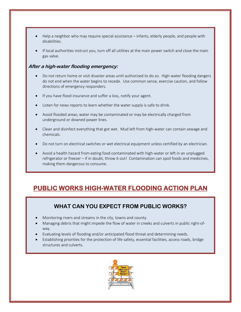- Help a neighbor who may require special assistance infants, elderly people, and people with disabilities.
- If local authorities instruct you, turn off all utilities at the main power switch and close the main gas valve.

#### **After a high-water flooding emergency:**

- Do not return home or visit disaster areas until authorized to do so. High-water flooding dangers do not end when the water begins to recede. Use common sense, exercise caution, and follow directions of emergency responders.
- If you have flood insurance and suffer a loss, notify your agent.
- Listen for news reports to learn whether the water supply is safe to drink.
- Avoid flooded areas; water may be contaminated or may be electrically charged from underground or downed power lines.
- Clean and disinfect everything that got wet. Mud left from high-water can contain sewage and chemicals.
- Do not turn on electrical switches or wet electrical equipment unless certified by an electrician.
- Avoid a health hazard from eating food contaminated with high-water or left in an unplugged refrigerator or freezer – if in doubt, throw it out! Contamination can spoil foods and medicines, making them dangerous to consume.

## **PUBLIC WORKS HIGH-WATER FLOODING ACTION PLAN**

## **WHAT CAN YOU EXPECT FROM PUBLIC WORKS?**

- Monitoring rivers and streams in the city, towns and county.
- Managing debris that might impede the flow of water in creeks and culverts in public right-ofway.
- Evaluating levels of flooding and/or anticipated flood threat and determining needs.
- Establishing priorities for the protection of life safety, essential facilities, access roads, bridge structures and culverts.

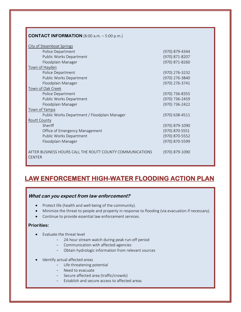| <b>CONTACT INFORMATION</b> (8:00 a.m. $-5:00$ p.m.)                        |                |
|----------------------------------------------------------------------------|----------------|
| City of Steamboat Springs                                                  |                |
| Police Department                                                          | (970) 879-4344 |
| Public Works Department                                                    | (970) 871-8207 |
| Floodplain Manager                                                         | (970) 871-8260 |
| Town of Hayden                                                             |                |
| Police Department                                                          | (970) 276-3232 |
| Public Works Department                                                    | (970) 276-3840 |
| Floodplain Manager                                                         | (970) 276-3741 |
| Town of Oak Creek                                                          |                |
| Police Department                                                          | (970) 736-8355 |
| Public Works Department                                                    | (970) 736-2459 |
| Floodplain Manager                                                         | (970) 736-2422 |
| Town of Yampa                                                              |                |
| Public Works Department / Floodplain Manager                               | (970) 638-4511 |
| <b>Routt County</b>                                                        |                |
| Sheriff                                                                    | (970) 879-1090 |
| Office of Emergency Management                                             | (970) 870-5551 |
| Public Works Department                                                    | (970) 870-5552 |
| Floodplain Manager                                                         | (970) 870-5599 |
| AFTER BUSINESS HOURS CALL THE ROUTT COUNTY COMMUNICATIONS<br><b>CENTER</b> | (970) 879-1090 |

## **LAW ENFORCEMENT HIGH-WATER FLOODING ACTION PLAN**

## **What can you expect from law enforcement?**

- Protect life (health and well-being of the community).
- Minimize the threat to people and property in response to flooding (via evacuation if necessary).
- Continue to provide essential law enforcement services.

#### **Priorities:**

- Evaluate the threat level
	- 24-hour stream watch during peak run-off period
	- Communication with affected agencies
	- Obtain hydrologic information from relevant sources
- Identify actual affected areas
	- Life threatening potential
	- Need to evacuate
	- Secure affected area (traffic/crowds)
	- Establish and secure access to affected areas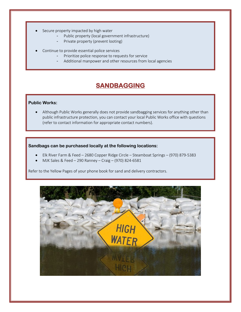- Secure property impacted by high water
	- Public property (local government infrastructure)
	- Private property (prevent looting)
- Continue to provide essential police services
	- Prioritize police response to requests for service
	- Additional manpower and other resources from local agencies

## **SANDBAGGING**

#### **Public Works:**

• Although Public Works generally does not provide sandbagging services for anything other than public infrastructure protection, you can contact your local Public Works office with questions (refer to contact information for appropriate contact numbers).

#### **Sandbags can be purchased locally at the following locations:**

- Elk River Farm & Feed 2680 Copper Ridge Circle Steamboat Springs (970) 879-5383
- MJK Sales & Feed 290 Ranney Craig (970) 824-6581

Refer to the Yellow Pages of your phone book for sand and delivery contractors.

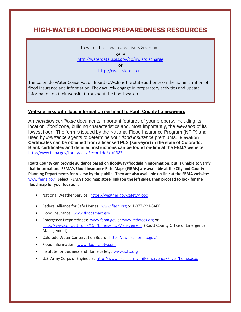## **HIGH-WATER FLOODING PREPAREDNESS RESOURCES**

To watch the flow in area rivers & streams go to <http://waterdata.usgs.gov/co/nwis/discharge>

or

[http://cwcb.state.co.us](http://cwcb.state.co.us/)

The Colorado Water Conservation Board (CWCB) is the state authority on the administration of flood insurance and information. They actively engage in preparatory activities and update information on their website throughout the flood season.

#### **Website links with flood information pertinent to Routt County homeowners:**

An *elevation certificate* documents important features of your property, including its location, *flood* zone, building characteristics and, most importantly, the *elevation* of its lowest floor. The form is issued by the National Flood Insurance Program (NFIP) and used by *insurance* agents to determine your *flood insurance* premiums. **Elevation Certificates can be obtained from a licensed PLS (surveyor) in the state of Colorado. Blank certificates and detailed instructions can be found on-line at the FEMA website:**  [http://www.fema.gov/library/viewRecord.do?id=1383.](http://www.fema.gov/library/viewRecord.do?id=1383)

**Routt County can provide guidance based on floodway/floodplain information, but is unable to verify that information. FEMA's Flood Insurance Rate Maps (FIRMs) are available at the City and County Planning Departments for review by the public. They are also available on-line at the FEMA website:**  [www.fema.gov.](http://www.fema.gov/) **Select 'FEMA flood map store' link (on the left side), then proceed to look for the flood map for your location.**

- National Weather Service: <https://weather.gov/safety/flood>
- Federal Alliance for Safe Homes: [www.flash.org](http://www.flash.org/) or 1-877-221-SAFE
- Flood Insurance: [www.floodsmart.gov](http://www.floodsmart.gov/)
- Emergency Preparedness: [www.fema.gov](http://www.fema.gov/) or [www.redcross.org](http://www.redcross.org/) or <http://www.co.routt.co.us/153/Emergency-Management> (Routt County Office of Emergency Management)
- Colorado Water Conservation Board: [https://cwcb.colorado.gov/](http://www.cwcb.state.co.us/)
- Flood Information: [www.floodsafety.com](http://www.floodsafety.com/)
- Institute for Business and Home Safety: [www.ibhs.org](http://www.ibhs.org/)
- U.S. Army Corps of Engineers: <http://www.usace.army.mil/Emergency/Pages/home.aspx>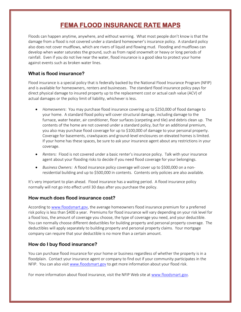## **FEMA FLOOD INSURANCE RATE MAPS**

Floods can happen anytime, anywhere, and without warning. What most people don't know is that the damage from a flood is not covered under a standard homeowner's insurance policy. A standard policy also does not cover mudflows, which are rivers of liquid and flowing mud. Flooding and mudflows can develop when water saturates the ground, such as from rapid snowmelt or heavy or long periods of rainfall. Even if you do not live near the water, flood insurance is a good idea to protect your home against events such as broken water lines.

## **What is flood insurance?**

Flood insurance is a special policy that is federally backed by the National Flood Insurance Program (NFIP) and is available for homeowners, renters and businesses. The standard flood insurance policy pays for direct physical damage to insured property up to the replacement cost or actual cash value (ACV) of actual damages or the policy limit of liability, whichever is less.

- *Homeowners*: You may purchase flood insurance covering up to \$250,000 of flood damage to your home. A standard flood policy will cover structural damage, including damage to the furnace, water heater, air conditioner, floor surfaces (carpeting and tile) and debris clean up. The contents of the home are not covered under a standard policy, but for an additional premium, you also may purchase flood coverage for up to \$100,000 of damage to your personal property. Coverage for basements, crawlspaces and ground-level enclosures on elevated homes is limited. If your home has these spaces, be sure to ask your insurance agent about any restrictions in your coverage.
- *Renters:* Flood is not covered under a basic renter's insurance policy. Talk with your insurance agent about your flooding risks to decide if you need flood coverage for your belongings.
- *Business Owners:* A flood insurance policy coverage will cover up to \$500,000 on a nonresidential building and up to \$500,000 in contents. Contents only policies are also available.

It's very important to plan ahead. Flood insurance has a waiting period. A flood insurance policy normally will not go into effect until 30 days after you purchase the policy.

#### **How much does flood insurance cost?**

According t[o www.floodsmart.gov,](http://www.floodsmart.gov/) the average homeowners flood insurance premium for a preferred risk policy is less than \$400 a year. Premiums for flood insurance will vary depending on your risk level for a flood loss, the amount of coverage you choose, the type of coverage you need, and your deductible. You can normally choose different deductibles for building property and personal property coverage. The deductibles will apply separately to building property and personal property claims. Your mortgage company can require that your deductible is no more than a certain amount.

## **How do I buy flood insurance?**

You can purchase flood insurance for your home or business regardless of whether the property is in a floodplain. Contact your insurance agent or company to find out if your community participates in the NFIP. You can also visit [www.floodsmart.gov](http://www.floodsmart.gov/) to get more information about your flood risk.

For more information about flood insurance, visit the NFIP Web site at [www.floodsmart.gov.](http://www.floodsmart.gov/)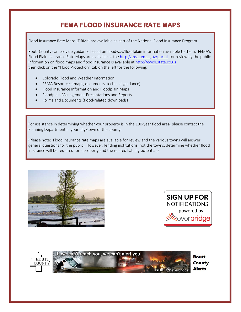## **FEMA FLOOD INSURANCE RATE MAPS**

Flood Insurance Rate Maps (FIRMs) are available as part of the National Flood Insurance Program.

Routt County can provide guidance based on floodway/floodplain information available to them. FEMA's Flood Plain Insurance Rate Maps are available at the<http://msc.fema.gov/portal>for review by the public. Information on flood maps and flood insurance is available at [http://cwcb.state.co.us](http://cwcb.state.co.us/) then click on the "Flood Protection" tab on the left for the following:

- Colorado Flood and Weather Information
- FEMA Resources (maps, documents, technical guidance)
- Flood Insurance Information and Floodplain Maps
- Floodplain Management Presentations and Reports
- Forms and Documents (flood-related downloads)

For assistance in determining whether your property is in the 100-year flood area, please contact the Planning Department in your city/town or the county.

(Please note: Flood insurance rate maps are available for review and the various towns will answer general questions for the public. However, lending institutions, not the towns, determine whether flood insurance will be required for a property and the related liability potential.)









Routt **County Alerts**